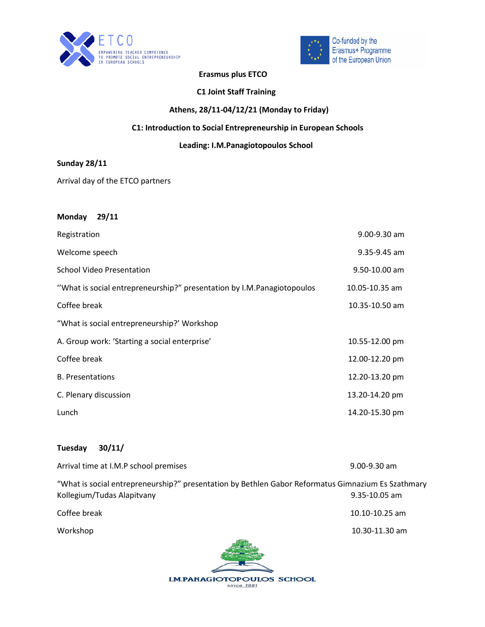



### **Erasmus plus ETCO**

#### **C1 Joint Staff Training**

## **Athens, 28/11-04/12/21 (Monday to Friday)**

### **C1: Introduction to Social Entrepreneurship in European Schools**

# **Leading: I.M.Panagiotopoulos School**

### **Sunday 28/11**

Arrival day of the ETCO partners

| <b>Monday</b><br>29/11                                                 |                  |
|------------------------------------------------------------------------|------------------|
| Registration                                                           | $9.00 - 9.30$ am |
| Welcome speech                                                         | 9.35-9.45 am     |
| <b>School Video Presentation</b>                                       | 9.50-10.00 am    |
| "What is social entrepreneurship?" presentation by I.M.Panagiotopoulos | 10.05-10.35 am   |
| Coffee break                                                           | 10.35-10.50 am   |
| "What is social entrepreneurship?' Workshop                            |                  |
| A. Group work: 'Starting a social enterprise'                          | 10.55-12.00 pm   |
| Coffee break                                                           | 12.00-12.20 pm   |
| <b>B.</b> Presentations                                                | 12.20-13.20 pm   |
| C. Plenary discussion                                                  | 13.20-14.20 pm   |
| Lunch                                                                  | 14.20-15.30 pm   |

### **Tuesday 30/11/**

| Arrival time at I.M.P school premises                                                                                            | $9.00 - 9.30$ am   |  |
|----------------------------------------------------------------------------------------------------------------------------------|--------------------|--|
| "What is social entrepreneurship?" presentation by Bethlen Gabor Reformatus Gimnazium Es Szathmary<br>Kollegium/Tudas Alapitvany | $9.35 - 10.05$ am  |  |
| Coffee break                                                                                                                     | $10.10 - 10.25$ am |  |
| Workshop                                                                                                                         | 10.30-11.30 am     |  |
|                                                                                                                                  |                    |  |

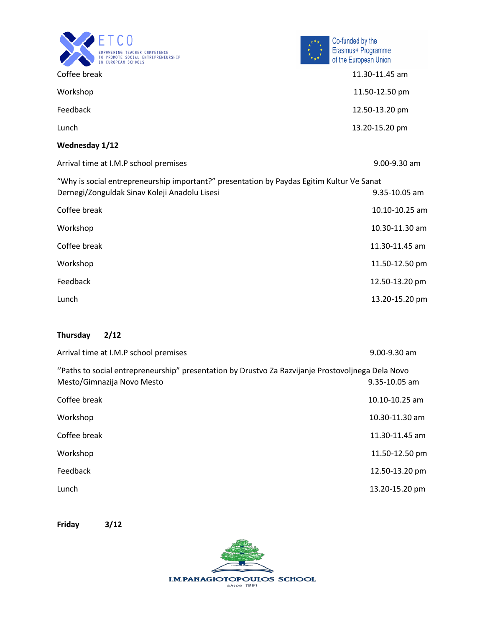| <b>EMPOWERING TEACHER COMPETENCE</b><br>TO PROMOTE SOCIAL ENTREPRENEURSHIP<br>IN EUROPEAN SCHOOLS |
|---------------------------------------------------------------------------------------------------|



| Coffee break                                                                                                                               | 11.30-11.45 am |
|--------------------------------------------------------------------------------------------------------------------------------------------|----------------|
| Workshop                                                                                                                                   | 11.50-12.50 pm |
| Feedback                                                                                                                                   | 12.50-13.20 pm |
| Lunch                                                                                                                                      | 13.20-15.20 pm |
| Wednesday 1/12                                                                                                                             |                |
| Arrival time at I.M.P school premises                                                                                                      | 9.00-9.30 am   |
| "Why is social entrepreneurship important?" presentation by Paydas Egitim Kultur Ve Sanat<br>Dernegi/Zonguldak Sinav Koleji Anadolu Lisesi | 9.35-10.05 am  |
| Coffee break                                                                                                                               | 10.10-10.25 am |
| Workshop                                                                                                                                   | 10.30-11.30 am |
| Coffee break                                                                                                                               | 11.30-11.45 am |
| Workshop                                                                                                                                   | 11.50-12.50 pm |
| Feedback                                                                                                                                   | 12.50-13.20 pm |
| Lunch                                                                                                                                      | 13.20-15.20 pm |

### **Thursday 2/12**

| Arrival time at I.M.P school premises                                                                                           | $9.00 - 9.30$ am   |
|---------------------------------------------------------------------------------------------------------------------------------|--------------------|
| "Paths to social entrepreneurship" presentation by Drustvo Za Razvijanje Prostovoljnega Dela Novo<br>Mesto/Gimnazija Novo Mesto | 9.35-10.05 am      |
| Coffee break                                                                                                                    | $10.10 - 10.25$ am |
| Workshop                                                                                                                        | 10.30-11.30 am     |
| Coffee break                                                                                                                    | 11.30-11.45 am     |
| Workshop                                                                                                                        | 11.50-12.50 pm     |
| Feedback                                                                                                                        | 12.50-13.20 pm     |
| Lunch                                                                                                                           | 13.20-15.20 pm     |